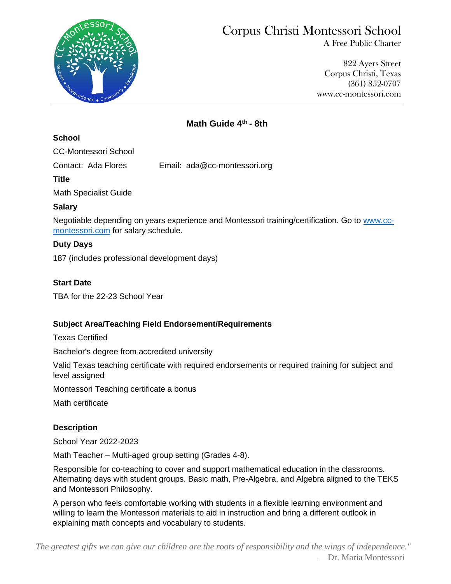

# Corpus Christi Montessori School

A Free Public Charter

 822 Ayers Street Corpus Christi, Texas (361) 852-0707 www.cc-montessori.com

## **Math Guide 4 th - 8th**

#### **School**

CC-Montessori School

Contact: Ada Flores Email: ada@cc-montessori.org

**Title**

Math Specialist Guide

## **Salary**

Negotiable depending on years experience and Montessori training/certification. Go to [www.cc](http://www.cc-montessori.com/)[montessori.com](http://www.cc-montessori.com/) for salary schedule.

## **Duty Days**

187 (includes professional development days)

## **Start Date**

TBA for the 22-23 School Year

## **Subject Area/Teaching Field Endorsement/Requirements**

Texas Certified

Bachelor's degree from accredited university

Valid Texas teaching certificate with required endorsements or required training for subject and level assigned

Montessori Teaching certificate a bonus

Math certificate

## **Description**

School Year 2022-2023

Math Teacher – Multi-aged group setting (Grades 4-8).

Responsible for co-teaching to cover and support mathematical education in the classrooms. Alternating days with student groups. Basic math, Pre-Algebra, and Algebra aligned to the TEKS and Montessori Philosophy.

A person who feels comfortable working with students in a flexible learning environment and willing to learn the Montessori materials to aid in instruction and bring a different outlook in explaining math concepts and vocabulary to students.